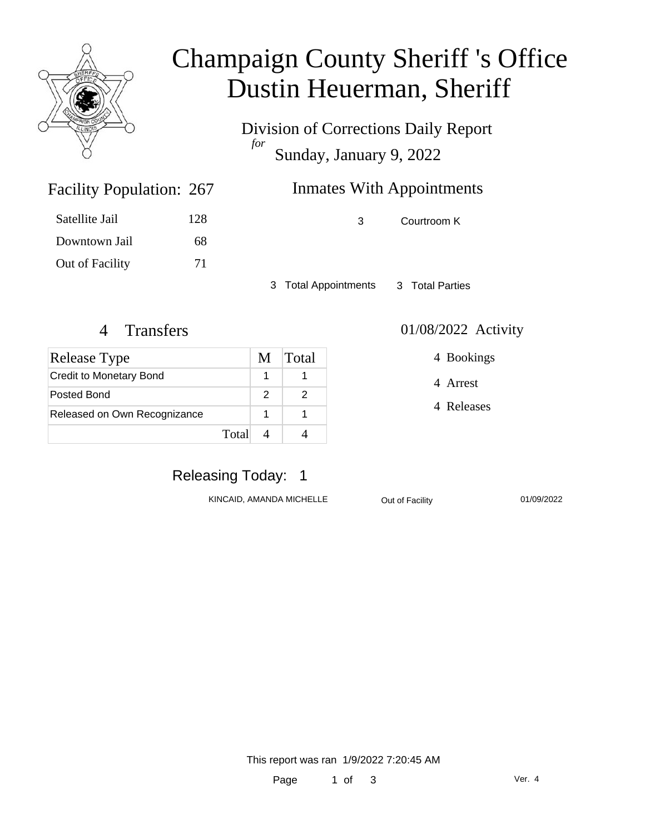

## Champaign County Sheriff 's Office Dustin Heuerman, Sheriff

Division of Corrections Daily Report *for* Sunday, January 9, 2022

| 267 | <b>Inmates With Appointments</b> |
|-----|----------------------------------|
|     |                                  |

Satellite Jail 128 Downtown Jail 68

Facility Population: 267

Out of Facility 71

3 Courtroom K

3 Total Appointments 3 Total Parties

#### 4 Transfers 01/08/2022 Activity

4 Bookings

4 Arrest

4 Releases

| Release Type                   | M Total |
|--------------------------------|---------|
| <b>Credit to Monetary Bond</b> |         |
| Posted Bond                    |         |
| Released on Own Recognizance   |         |
| Total                          |         |

### Releasing Today: 1

KINCAID, AMANDA MICHELLE **Out of Facility** 01/09/2022

This report was ran 1/9/2022 7:20:45 AM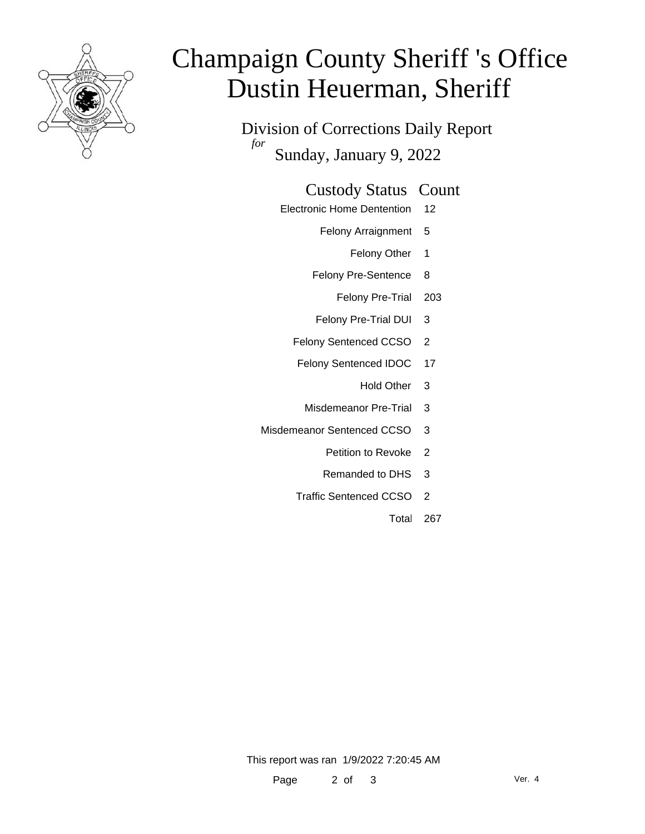

# Champaign County Sheriff 's Office Dustin Heuerman, Sheriff

Division of Corrections Daily Report *for* Sunday, January 9, 2022

#### Custody Status Count

- Electronic Home Dentention 12
	- Felony Arraignment 5
		- Felony Other 1
	- Felony Pre-Sentence 8
		- Felony Pre-Trial 203
	- Felony Pre-Trial DUI 3
	- Felony Sentenced CCSO 2
	- Felony Sentenced IDOC 17
		- Hold Other 3
		- Misdemeanor Pre-Trial 3
- Misdemeanor Sentenced CCSO 3
	- Petition to Revoke 2
	- Remanded to DHS 3
	- Traffic Sentenced CCSO 2
		- Total 267

This report was ran 1/9/2022 7:20:45 AM